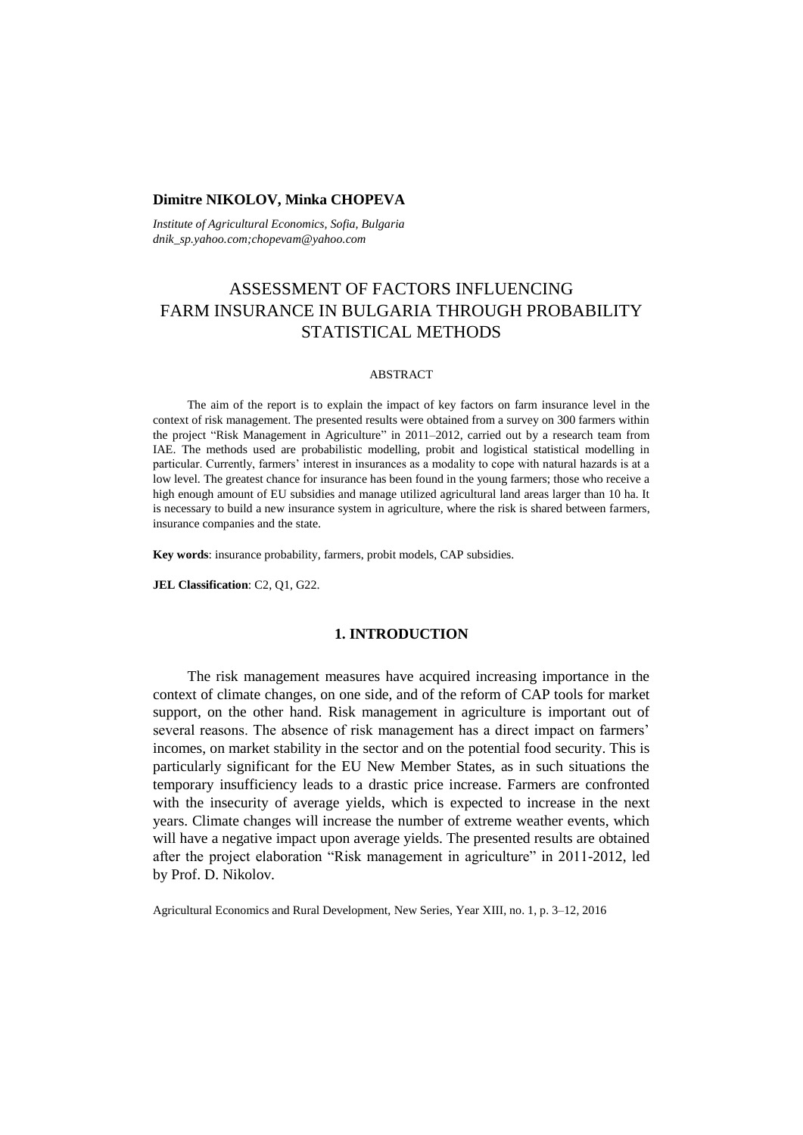## **Dimitre NIKOLOV, Minka CHOPEVA**

*Institute of Agricultural Economics, Sofia, Bulgaria dnik\_sp.yahoo.com;chopevam@yahoo.com*

# ASSESSMENT OF FACTORS INFLUENCING FARM INSURANCE IN BULGARIA THROUGH PROBABILITY STATISTICAL METHODS

#### ABSTRACT

The aim of the report is to explain the impact of key factors on farm insurance level in the context of risk management. The presented results were obtained from a survey on 300 farmers within the project "Risk Management in Agriculture" in 2011–2012, carried out by a research team from IAE. The methods used are probabilistic modelling, probit and logistical statistical modelling in particular. Currently, farmers' interest in insurances as a modality to cope with natural hazards is at a low level. The greatest chance for insurance has been found in the young farmers; those who receive a high enough amount of EU subsidies and manage utilized agricultural land areas larger than 10 ha. It is necessary to build a new insurance system in agriculture, where the risk is shared between farmers, insurance companies and the state.

**Key words**: insurance probability, farmers, probit models, CAP subsidies.

**JEL Classification**: C2, Q1, G22.

## **1. INTRODUCTION**

The risk management measures have acquired increasing importance in the context of climate changes, on one side, and of the reform of CAP tools for market support, on the other hand. Risk management in agriculture is important out of several reasons. The absence of risk management has a direct impact on farmers' incomes, on market stability in the sector and on the potential food security. This is particularly significant for the EU New Member States, as in such situations the temporary insufficiency leads to a drastic price increase. Farmers are confronted with the insecurity of average yields, which is expected to increase in the next years. Climate changes will increase the number of extreme weather events, which will have a negative impact upon average yields. The presented results are obtained after the project elaboration "Risk management in agriculture" in 2011-2012, led by Prof. D. Nikolov.

Agricultural Economics and Rural Development, New Series, Year XIII, no. 1, p. 3–12, 2016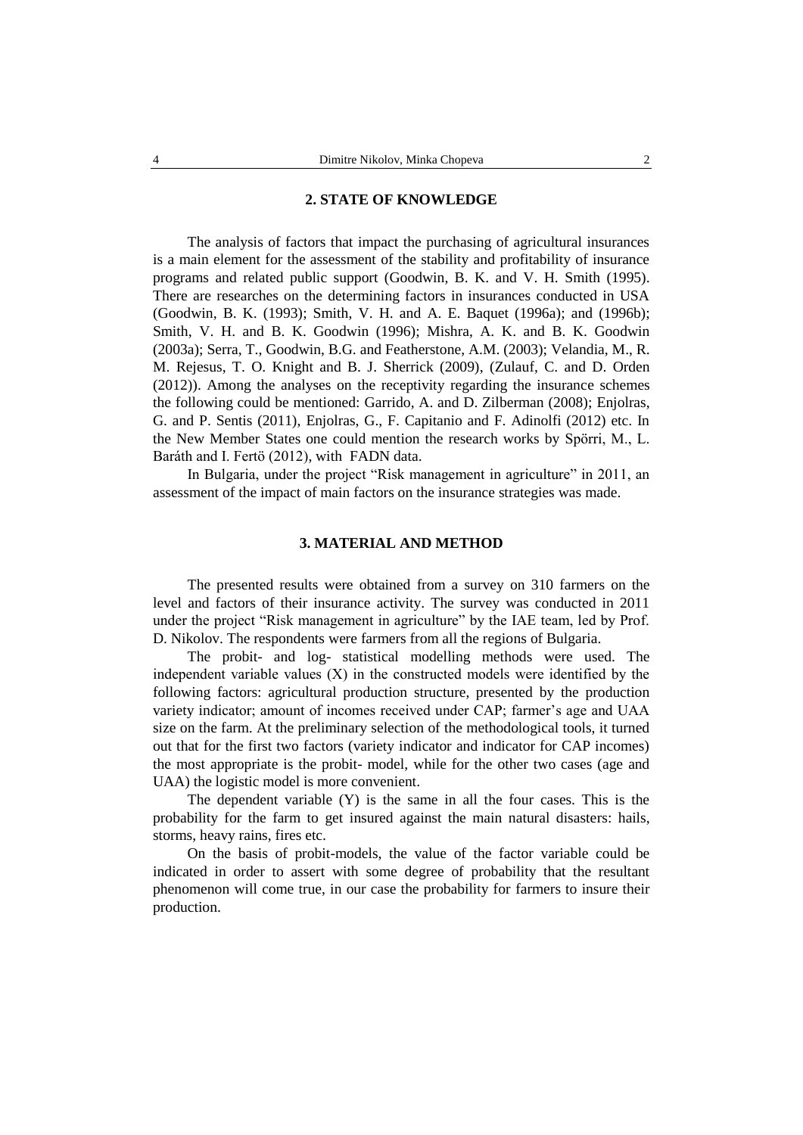## **2. STATE OF KNOWLEDGE**

The analysis of factors that impact the purchasing of agricultural insurances is a main element for the assessment of the stability and profitability of insurance programs and related public support (Goodwin, B. K. and V. H. Smith (1995). There are researches on the determining factors in insurances conducted in USA (Goodwin, B. K. (1993); Smith, V. H. and A. E. Baquet (1996a); and (1996b); Smith, V. H. and B. K. Goodwin (1996); Mishra, A. K. and B. K. Goodwin (2003a); Serra, T., Goodwin, B.G. and Featherstone, A.M. (2003); Velandia, M., R. M. Rejesus, T. O. Knight and B. J. Sherrick (2009), (Zulauf, C. and D. Orden (2012)). Among the analyses on the receptivity regarding the insurance schemes the following could be mentioned: Garrido, A. and D. Zilberman (2008); Enjolras, G. and P. Sentis (2011), Enjolras, G., F. Capitanio and F. Adinolfi (2012) etc. In the New Member States one could mention the research works by Spörri, M., L. Baráth and I. Fertö (2012), with FADN data.

In Bulgaria, under the project "Risk management in agriculture" in 2011, an assessment of the impact of main factors on the insurance strategies was made.

# **3. MATERIAL AND METHOD**

The presented results were obtained from a survey on 310 farmers on the level and factors of their insurance activity. The survey was conducted in 2011 under the project "Risk management in agriculture" by the IAE team, led by Prof. D. Nikolov. The respondents were farmers from all the regions of Bulgaria.

The probit- and log- statistical modelling methods were used. The independent variable values  $(X)$  in the constructed models were identified by the following factors: agricultural production structure, presented by the production variety indicator; amount of incomes received under CAP; farmer's age and UAA size on the farm. At the preliminary selection of the methodological tools, it turned out that for the first two factors (variety indicator and indicator for CAP incomes) the most appropriate is the probit- model, while for the other two cases (age and UAA) the logistic model is more convenient.

The dependent variable (Y) is the same in all the four cases. This is the probability for the farm to get insured against the main natural disasters: hails, storms, heavy rains, fires etc.

On the basis of probit-models, the value of the factor variable could be indicated in order to assert with some degree of probability that the resultant phenomenon will come true, in our case the probability for farmers to insure their production.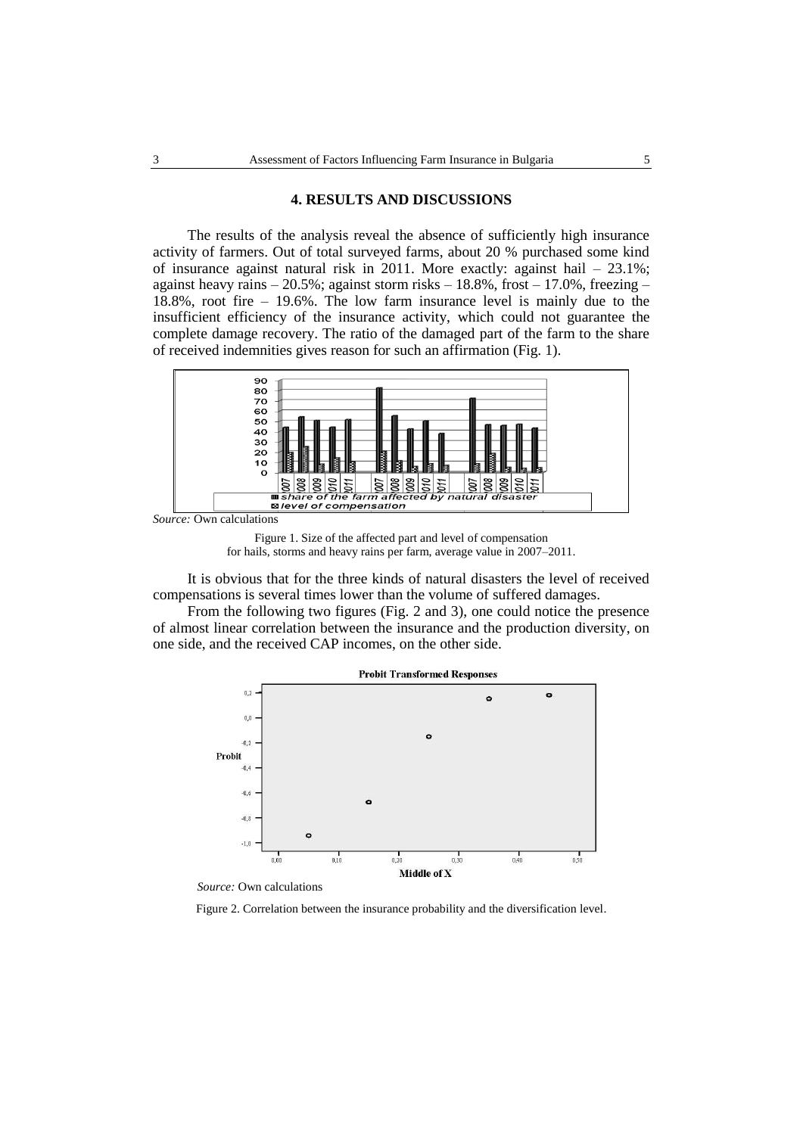#### **4. RESULTS AND DISCUSSIONS**

The results of the analysis reveal the absence of sufficiently high insurance activity of farmers. Out of total surveyed farms, about 20 % purchased some kind of insurance against natural risk in 2011. More exactly: against hail  $-23.1\%$ ; against heavy rains – 20.5%; against storm risks – 18.8%, frost – 17.0%, freezing – 18.8%, root fire – 19.6%. The low farm insurance level is mainly due to the insufficient efficiency of the insurance activity, which could not guarantee the complete damage recovery. The ratio of the damaged part of the farm to the share of received indemnities gives reason for such an affirmation (Fig. 1).



*Source:* Own calculations

Figure 1. Size of the affected part and level of compensation for hails, storms and heavy rains per farm, average value in 2007–2011.

It is obvious that for the three kinds of natural disasters the level of received compensations is several times lower than the volume of suffered damages.

From the following two figures (Fig. 2 and 3), one could notice the presence of almost linear correlation between the insurance and the production diversity, on one side, and the received CAP incomes, on the other side.



*Source:* Own calculations

Figure 2. Correlation between the insurance probability and the diversification level.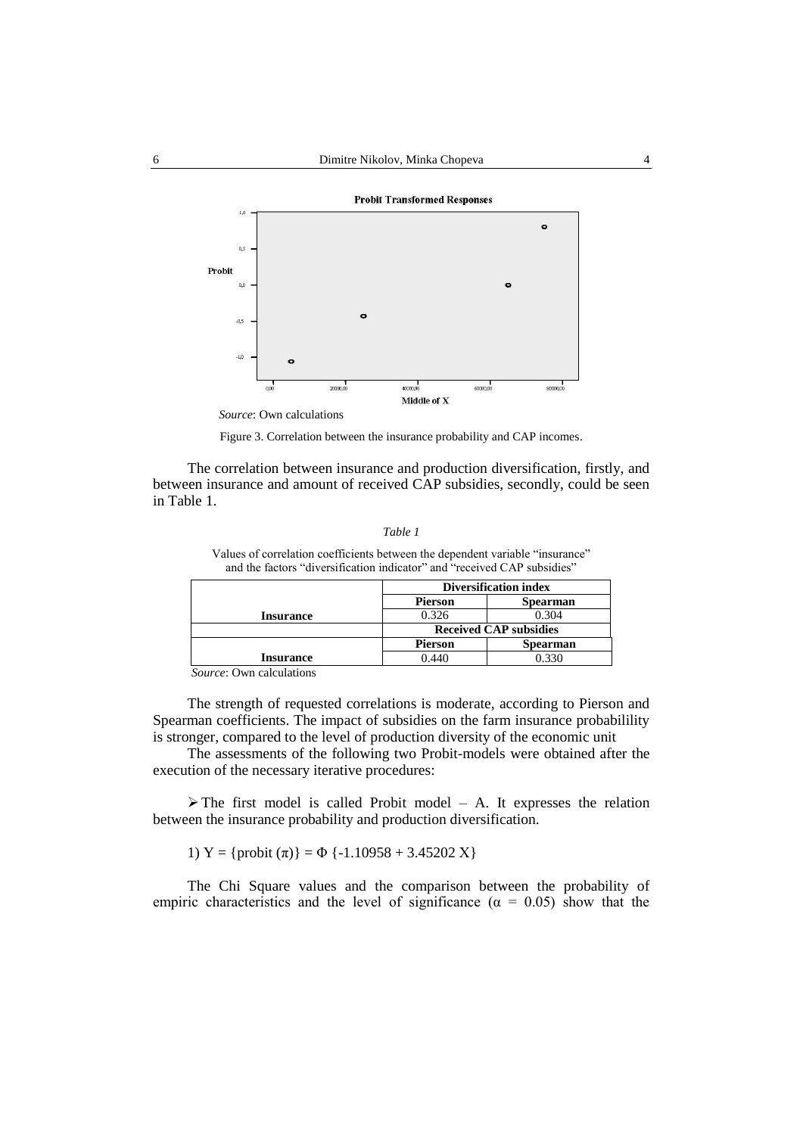

*Source*: Own calculations

Figure 3. Correlation between the insurance probability and CAP incomes.

The correlation between insurance and production diversification, firstly, and between insurance and amount of received CAP subsidies, secondly, could be seen in Table 1.

```
Table 1
```
Values of correlation coefficients between the dependent variable "insurance" and the factors "diversification indicator" and "received CAP subsidies"

|                  |                | <b>Diversification index</b>  |  |
|------------------|----------------|-------------------------------|--|
|                  | <b>Pierson</b> | <b>Spearman</b>               |  |
| <b>Insurance</b> | 0.326          | 0.304                         |  |
|                  |                | <b>Received CAP subsidies</b> |  |
|                  | <b>Pierson</b> | <b>Spearman</b>               |  |
| <b>Insurance</b> | 0.440          | 0.330                         |  |
| 1.1<br>$\sim$    |                |                               |  |

*Source*: Own calculations

The strength of requested correlations is moderate, according to Pierson and Spearman coefficients. The impact of subsidies on the farm insurance probabilility is stronger, compared to the level of production diversity of the economic unit

The assessments of the following two Probit-models were obtained after the execution of the necessary iterative procedures:

 $\triangleright$  The first model is called Probit model – A. It expresses the relation between the insurance probability and production diversification.

1) Y = {probit  $(\pi)$ } =  $\Phi$  {-1.10958 + 3.45202 X}

The Chi Square values and the comparison between the probability of empiric characteristics and the level of significance ( $\alpha = 0.05$ ) show that the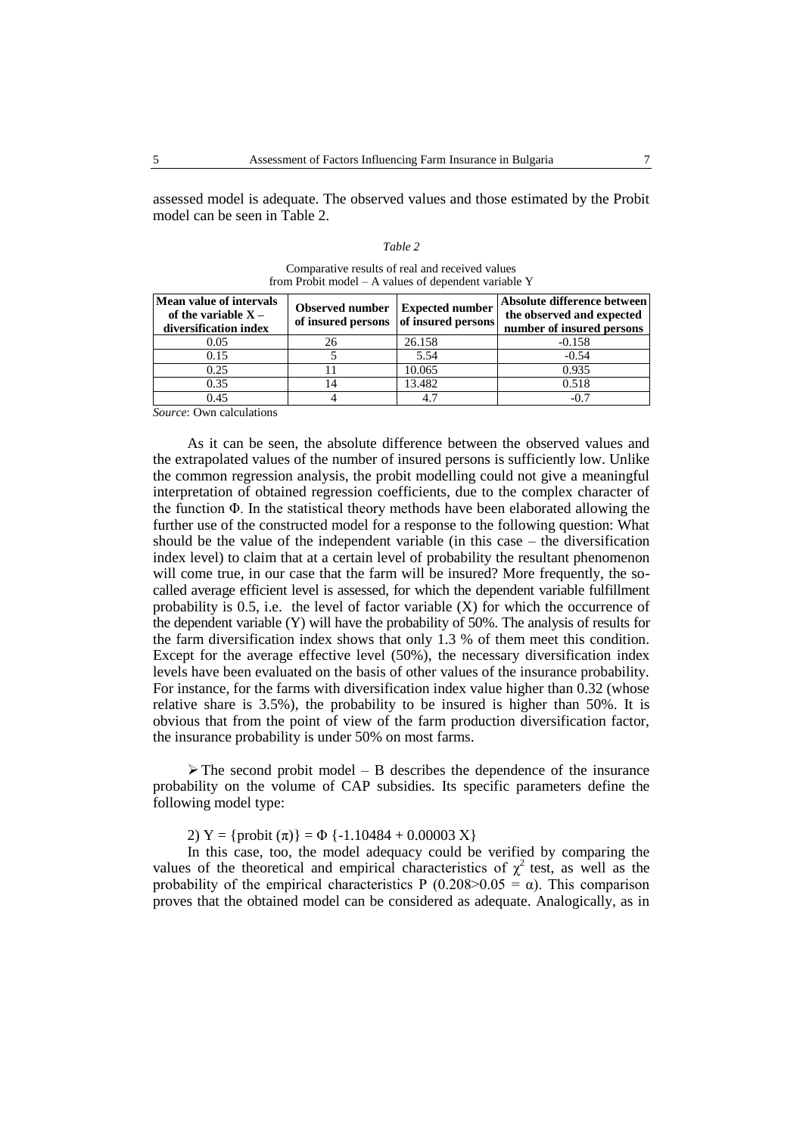assessed model is adequate. The observed values and those estimated by the Probit model can be seen in Table 2.

| `able |
|-------|
|-------|

| Mean value of intervals<br>of the variable $X -$<br>diversification index | <b>Observed number</b><br>of insured persons of insured persons | <b>Expected number</b> | Absolute difference between<br>the observed and expected<br>number of insured persons |
|---------------------------------------------------------------------------|-----------------------------------------------------------------|------------------------|---------------------------------------------------------------------------------------|
| 0.05                                                                      | 26                                                              | 26.158                 | $-0.158$                                                                              |
| 0.15                                                                      |                                                                 | 5.54                   | $-0.54$                                                                               |
| 0.25                                                                      |                                                                 | 10.065                 | 0.935                                                                                 |
| 0.35                                                                      |                                                                 | 13.482                 | 0.518                                                                                 |
| 0.45                                                                      |                                                                 |                        | $-0.7$                                                                                |

Comparative results of real and received values from Probit model – A values of dependent variable Y

*Source*: Own calculations

As it can be seen, the absolute difference between the observed values and the extrapolated values of the number of insured persons is sufficiently low. Unlike the common regression analysis, the probit modelling could not give a meaningful interpretation of obtained regression coefficients, due to the complex character of the function Φ. In the statistical theory methods have been elaborated allowing the further use of the constructed model for a response to the following question: What should be the value of the independent variable (in this case – the diversification index level) to claim that at a certain level of probability the resultant phenomenon will come true, in our case that the farm will be insured? More frequently, the socalled average efficient level is assessed, for which the dependent variable fulfillment probability is  $0.5$ , i.e. the level of factor variable  $(X)$  for which the occurrence of the dependent variable (Y) will have the probability of 50%. The analysis of results for the farm diversification index shows that only 1.3 % of them meet this condition. Except for the average effective level (50%), the necessary diversification index levels have been evaluated on the basis of other values of the insurance probability. For instance, for the farms with diversification index value higher than 0.32 (whose relative share is 3.5%), the probability to be insured is higher than 50%. It is obvious that from the point of view of the farm production diversification factor, the insurance probability is under 50% on most farms.

 $\triangleright$  The second probit model – B describes the dependence of the insurance probability on the volume of CAP subsidies. Its specific parameters define the following model type:

2) Y = {probit  $(\pi)$ } =  $\Phi$  {-1.10484 + 0.00003 X}

In this case, too, the model adequacy could be verified by comparing the values of the theoretical and empirical characteristics of  $\chi^2$  test, as well as the probability of the empirical characteristics P (0.208>0.05 =  $\alpha$ ). This comparison proves that the obtained model can be considered as adequate. Analogically, as in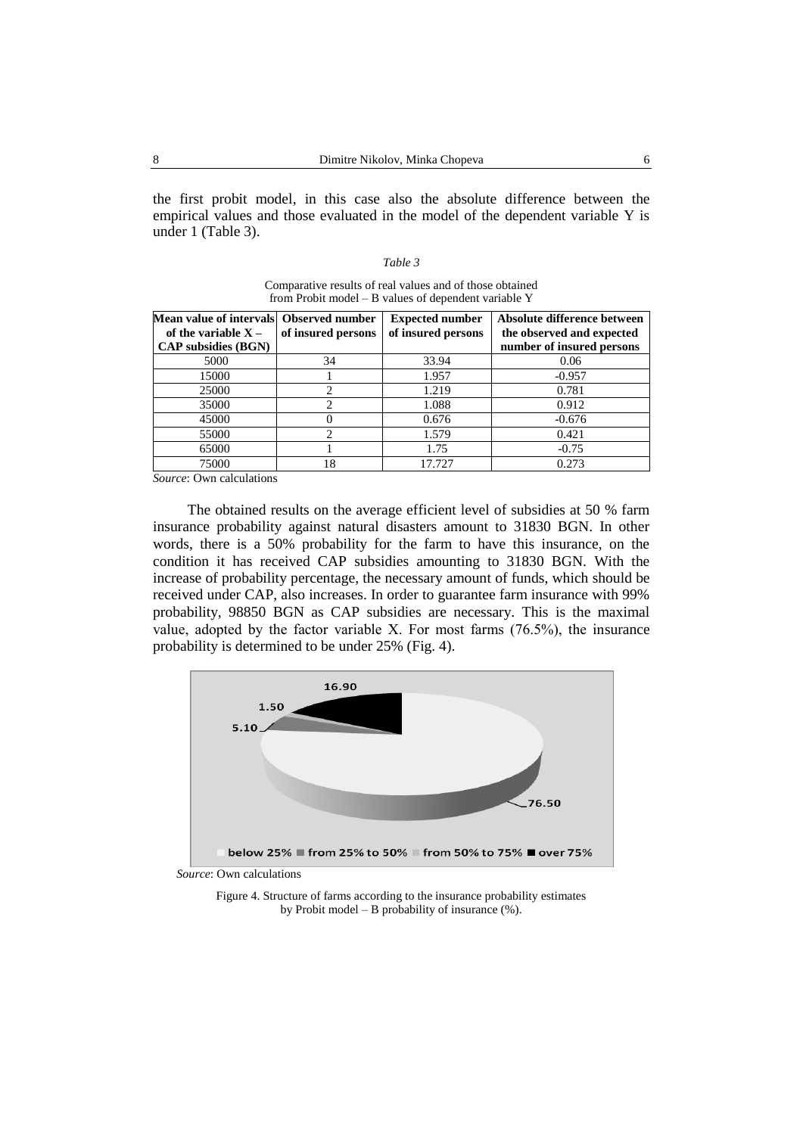the first probit model, in this case also the absolute difference between the empirical values and those evaluated in the model of the dependent variable Y is under 1 (Table 3).

#### *Table 3*

| Mean value of intervals Observed number<br>of the variable $X -$<br><b>CAP</b> subsidies (BGN) | of insured persons | <b>Expected number</b><br>of insured persons | Absolute difference between<br>the observed and expected<br>number of insured persons |
|------------------------------------------------------------------------------------------------|--------------------|----------------------------------------------|---------------------------------------------------------------------------------------|
| 5000                                                                                           | 34                 | 33.94                                        | 0.06                                                                                  |
| 15000                                                                                          |                    | 1.957                                        | $-0.957$                                                                              |
| 25000                                                                                          | 2                  | 1.219                                        | 0.781                                                                                 |
| 35000                                                                                          | ∍                  | 1.088                                        | 0.912                                                                                 |
| 45000                                                                                          | 0                  | 0.676                                        | $-0.676$                                                                              |
| 55000                                                                                          | C                  | 1.579                                        | 0.421                                                                                 |
| 65000                                                                                          |                    | 1.75                                         | $-0.75$                                                                               |
| 75000                                                                                          | 18                 | 17.727                                       | 0.273                                                                                 |

Comparative results of real values and of those obtained from Probit model – B values of dependent variable Y

*Source*: Own calculations

The obtained results on the average efficient level of subsidies at 50 % farm insurance probability against natural disasters amount to 31830 BGN. In other words, there is a 50% probability for the farm to have this insurance, on the condition it has received CAP subsidies amounting to 31830 BGN. With the increase of probability percentage, the necessary amount of funds, which should be received under CAP, also increases. In order to guarantee farm insurance with 99% probability, 98850 BGN as CAP subsidies are necessary. This is the maximal value, adopted by the factor variable Х. For most farms (76.5%), the insurance probability is determined to be under 25% (Fig. 4).



*Source*: Own calculations

Figure 4. Structure of farms according to the insurance probability estimates by Probit model – B probability of insurance (%).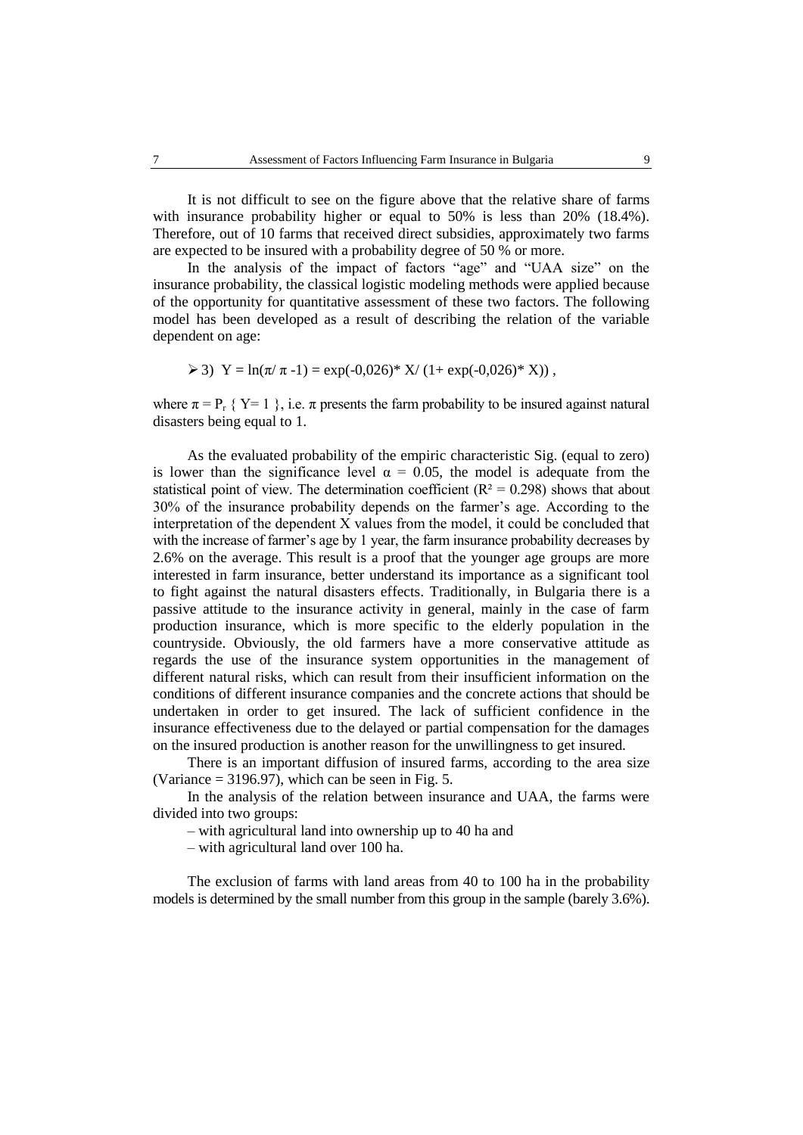It is not difficult to see on the figure above that the relative share of farms with insurance probability higher or equal to 50% is less than 20% (18.4%). Therefore, out of 10 farms that received direct subsidies, approximately two farms are expected to be insured with a probability degree of 50 % or more.

In the analysis of the impact of factors "age" and "UAA size" on the insurance probability, the classical logistic modeling methods were applied because of the opportunity for quantitative assessment of these two factors. The following model has been developed as a result of describing the relation of the variable dependent on age:

 $\triangleright$  3) Y = ln( $\pi/\pi$ -1) = exp(-0,026)\* X/ (1+ exp(-0,026)\* X)),

where  $\pi = P_r$  { Y= 1 }, i.e.  $\pi$  presents the farm probability to be insured against natural disasters being equal to 1.

As the evaluated probability of the empiric characteristic Sig. (equal to zero) is lower than the significance level  $\alpha = 0.05$ , the model is adequate from the statistical point of view. The determination coefficient ( $R<sup>2</sup> = 0.298$ ) shows that about 30% of the insurance probability depends on the farmer's age. According to the interpretation of the dependent Х values from the model, it could be concluded that with the increase of farmer's age by 1 year, the farm insurance probability decreases by 2.6% on the average. This result is a proof that the younger age groups are more interested in farm insurance, better understand its importance as a significant tool to fight against the natural disasters effects. Traditionally, in Bulgaria there is a passive attitude to the insurance activity in general, mainly in the case of farm production insurance, which is more specific to the elderly population in the countryside. Obviously, the old farmers have a more conservative attitude as regards the use of the insurance system opportunities in the management of different natural risks, which can result from their insufficient information on the conditions of different insurance companies and the concrete actions that should be undertaken in order to get insured. The lack of sufficient confidence in the insurance effectiveness due to the delayed or partial compensation for the damages on the insured production is another reason for the unwillingness to get insured.

There is an important diffusion of insured farms, according to the area size (Variance  $= 3196.97$ ), which can be seen in Fig. 5.

In the analysis of the relation between insurance and UAA, the farms were divided into two groups:

– with agricultural land into ownership up to 40 ha and

– with agricultural land over 100 ha.

The exclusion of farms with land areas from 40 to 100 ha in the probability models is determined by the small number from this group in the sample (barely 3.6%).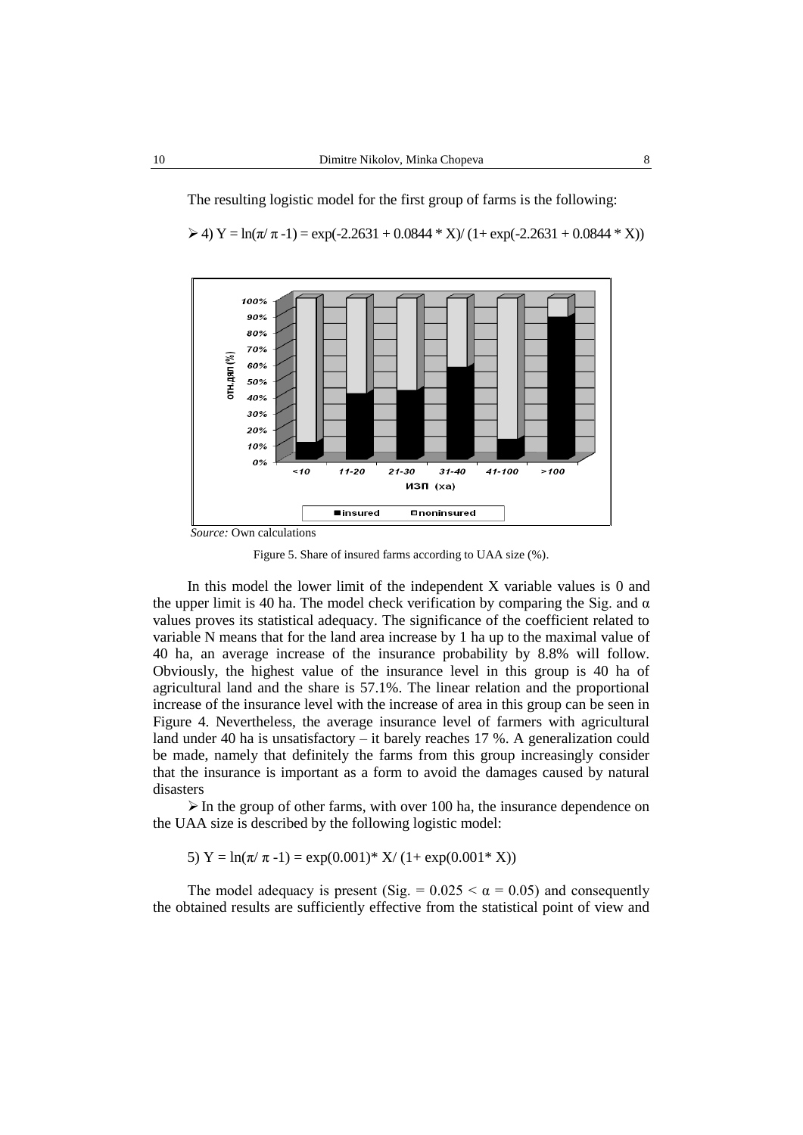The resulting logistic model for the first group of farms is the following:

 $\geq 4$ ) Y = ln( $\pi/\pi$ -1) = exp(-2.2631 + 0.0844 \* X)/ (1+ exp(-2.2631 + 0.0844 \* X))



*Source:* Own calculations

Figure 5. Share of insured farms according to UAA size (%).

In this model the lower limit of the independent X variable values is 0 and the upper limit is 40 ha. The model check verification by comparing the Sig. and  $\alpha$ values proves its statistical adequacy. The significance of the coefficient related to variable N means that for the land area increase by 1 ha up to the maximal value of 40 ha, an average increase of the insurance probability by 8.8% will follow. Obviously, the highest value of the insurance level in this group is 40 ha of agricultural land and the share is 57.1%. The linear relation and the proportional increase of the insurance level with the increase of area in this group can be seen in Figure 4. Nevertheless, the average insurance level of farmers with agricultural land under 40 ha is unsatisfactory – it barely reaches 17 %. A generalization could be made, namely that definitely the farms from this group increasingly consider that the insurance is important as a form to avoid the damages caused by natural disasters

 $\triangleright$  In the group of other farms, with over 100 ha, the insurance dependence on the UAA size is described by the following logistic model:

5)  $Y = ln(\pi/\pi - 1) = exp(0.001)^* X/(1+ exp(0.001^* X))$ 

The model adequacy is present (Sig. =  $0.025 < \alpha = 0.05$ ) and consequently the obtained results are sufficiently effective from the statistical point of view and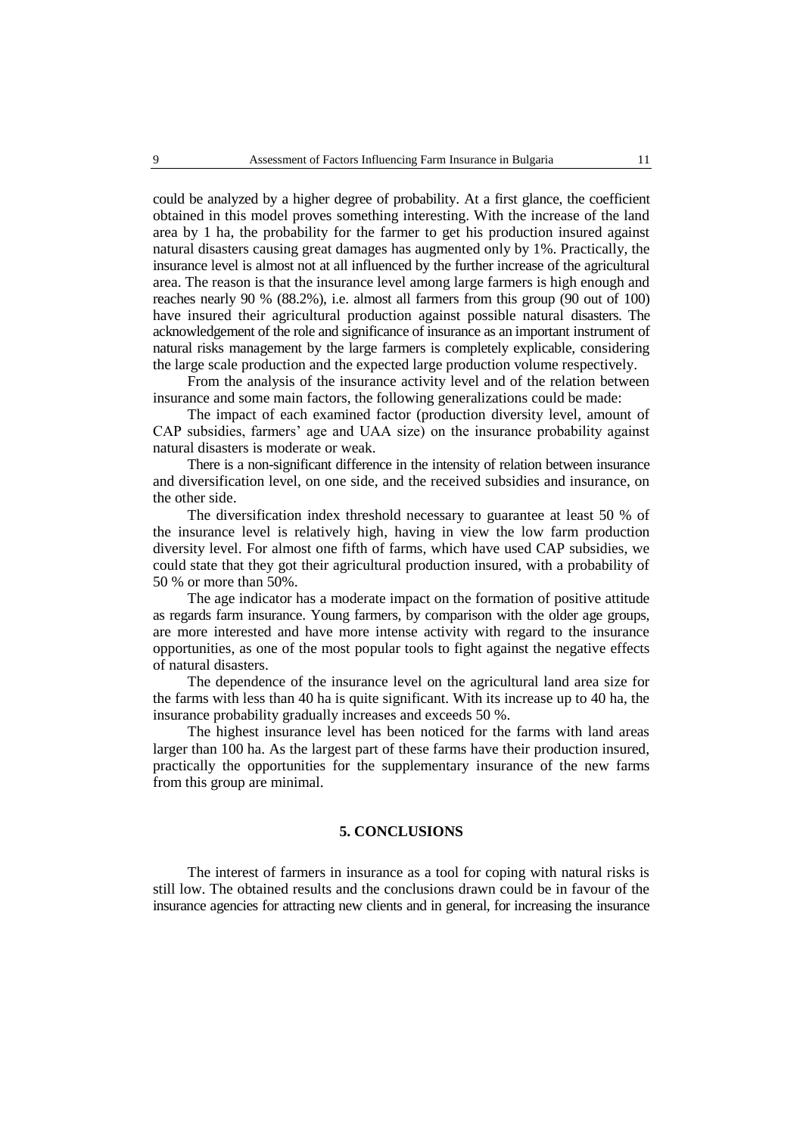could be analyzed by a higher degree of probability. At a first glance, the coefficient obtained in this model proves something interesting. With the increase of the land area by 1 ha, the probability for the farmer to get his production insured against natural disasters causing great damages has augmented only by 1%. Practically, the insurance level is almost not at all influenced by the further increase of the agricultural area. The reason is that the insurance level among large farmers is high enough and reaches nearly 90 % (88.2%), i.e. almost all farmers from this group (90 out of 100) have insured their agricultural production against possible natural disasters. The acknowledgement of the role and significance of insurance as an important instrument of natural risks management by the large farmers is completely explicable, considering the large scale production and the expected large production volume respectively.

From the analysis of the insurance activity level and of the relation between insurance and some main factors, the following generalizations could be made:

The impact of each examined factor (production diversity level, amount of CAP subsidies, farmers' age and UAA size) on the insurance probability against natural disasters is moderate or weak.

There is a non-significant difference in the intensity of relation between insurance and diversification level, on one side, and the received subsidies and insurance, on the other side.

The diversification index threshold necessary to guarantee at least 50 % of the insurance level is relatively high, having in view the low farm production diversity level. For almost one fifth of farms, which have used CAP subsidies, we could state that they got their agricultural production insured, with a probability of 50 % or more than 50%.

The age indicator has a moderate impact on the formation of positive attitude as regards farm insurance. Young farmers, by comparison with the older age groups, are more interested and have more intense activity with regard to the insurance opportunities, as one of the most popular tools to fight against the negative effects of natural disasters.

The dependence of the insurance level on the agricultural land area size for the farms with less than 40 ha is quite significant. With its increase up to 40 ha, the insurance probability gradually increases and exceeds 50 %.

The highest insurance level has been noticed for the farms with land areas larger than 100 ha. As the largest part of these farms have their production insured, practically the opportunities for the supplementary insurance of the new farms from this group are minimal.

## **5. CONCLUSIONS**

The interest of farmers in insurance as a tool for coping with natural risks is still low. The obtained results and the conclusions drawn could be in favour of the insurance agencies for attracting new clients and in general, for increasing the insurance